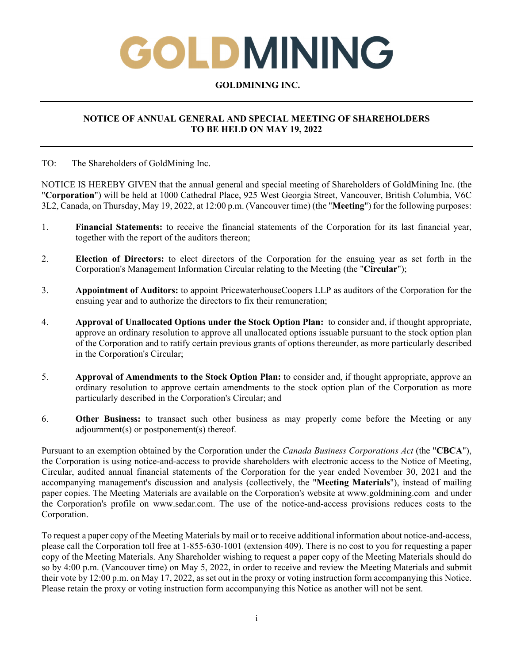# GOLDMINING

### **GOLDMINING INC.**

# **NOTICE OF ANNUAL GENERAL AND SPECIAL MEETING OF SHAREHOLDERS TO BE HELD ON MAY 19, 2022**

TO: The Shareholders of GoldMining Inc.

NOTICE IS HEREBY GIVEN that the annual general and special meeting of Shareholders of GoldMining Inc. (the "**Corporation**") will be held at 1000 Cathedral Place, 925 West Georgia Street, Vancouver, British Columbia, V6C 3L2, Canada, on Thursday, May 19, 2022, at 12:00 p.m. (Vancouver time) (the "**Meeting**") for the following purposes:

- 1. **Financial Statements:** to receive the financial statements of the Corporation for its last financial year, together with the report of the auditors thereon;
- 2. **Election of Directors:** to elect directors of the Corporation for the ensuing year as set forth in the Corporation's Management Information Circular relating to the Meeting (the "**Circular**");
- 3. **Appointment of Auditors:** to appoint PricewaterhouseCoopers LLP as auditors of the Corporation for the ensuing year and to authorize the directors to fix their remuneration;
- 4. **Approval of Unallocated Options under the Stock Option Plan:** to consider and, if thought appropriate, approve an ordinary resolution to approve all unallocated options issuable pursuant to the stock option plan of the Corporation and to ratify certain previous grants of options thereunder, as more particularly described in the Corporation's Circular;
- 5. **Approval of Amendments to the Stock Option Plan:** to consider and, if thought appropriate, approve an ordinary resolution to approve certain amendments to the stock option plan of the Corporation as more particularly described in the Corporation's Circular; and
- 6. **Other Business:** to transact such other business as may properly come before the Meeting or any adjournment(s) or postponement(s) thereof.

Pursuant to an exemption obtained by the Corporation under the *Canada Business Corporations Act* (the "**CBCA**"), the Corporation is using notice-and-access to provide shareholders with electronic access to the Notice of Meeting, Circular, audited annual financial statements of the Corporation for the year ended November 30, 2021 and the accompanying management's discussion and analysis (collectively, the "**Meeting Materials**"), instead of mailing paper copies. The Meeting Materials are available on the Corporation's website at www.goldmining.com and under the Corporation's profile on www.sedar.com. The use of the notice-and-access provisions reduces costs to the Corporation.

To request a paper copy of the Meeting Materials by mail or to receive additional information about notice-and-access, please call the Corporation toll free at 1-855-630-1001 (extension 409). There is no cost to you for requesting a paper copy of the Meeting Materials. Any Shareholder wishing to request a paper copy of the Meeting Materials should do so by 4:00 p.m. (Vancouver time) on May 5, 2022, in order to receive and review the Meeting Materials and submit their vote by 12:00 p.m. on May 17, 2022, as set out in the proxy or voting instruction form accompanying this Notice. Please retain the proxy or voting instruction form accompanying this Notice as another will not be sent.